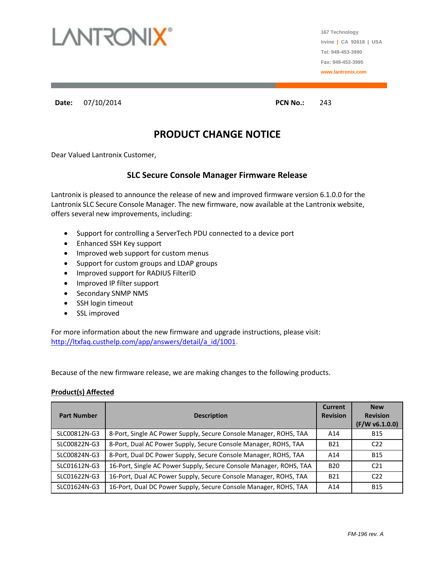

**167 Technology Irvine | CA 92618 | USA Tel: 949-453-3990 Fax: 949-453-3995 www.lantronix.com**

**Date:** 07/10/2014 **PCN No.:** 243

## **PRODUCT CHANGE NOTICE**

Dear Valued Lantronix Customer,

### **SLC Secure Console Manager Firmware Release**

Lantronix is pleased to announce the release of new and improved firmware version 6.1.0.0 for the Lantronix SLC Secure Console Manager. The new firmware, now available at the Lantronix website, offers several new improvements, including:

- Support for controlling a ServerTech PDU connected to a device port
- Enhanced SSH Key support
- Improved web support for custom menus
- Support for custom groups and LDAP groups
- Improved support for RADIUS FilterID
- Improved IP filter support
- Secondary SNMP NMS
- SSH login timeout
- SSL improved

For more information about the new firmware and upgrade instructions, please visit: [http://ltxfaq.custhelp.com/app/answers/detail/a\\_id/1001.](http://ltxfaq.custhelp.com/app/answers/detail/a_id/1001)

Because of the new firmware release, we are making changes to the following products.

#### **Product(s) Affected**

| <b>Part Number</b> | <b>Description</b>                                                 | <b>Current</b><br><b>Revision</b> | <b>New</b><br><b>Revision</b><br>(F/W v6.1.0.0) |
|--------------------|--------------------------------------------------------------------|-----------------------------------|-------------------------------------------------|
| SLC00812N-G3       | 8-Port, Single AC Power Supply, Secure Console Manager, ROHS, TAA  | A14                               | <b>B15</b>                                      |
| SLC00822N-G3       | 8-Port, Dual AC Power Supply, Secure Console Manager, ROHS, TAA    | <b>B21</b>                        | C <sub>22</sub>                                 |
| SLC00824N-G3       | 8-Port, Dual DC Power Supply, Secure Console Manager, ROHS, TAA    | A14                               | <b>B15</b>                                      |
| SLC01612N-G3       | 16-Port, Single AC Power Supply, Secure Console Manager, ROHS, TAA | <b>B20</b>                        | C <sub>21</sub>                                 |
| SLC01622N-G3       | 16-Port, Dual AC Power Supply, Secure Console Manager, ROHS, TAA   | <b>B21</b>                        | C22                                             |
| SLC01624N-G3       | 16-Port, Dual DC Power Supply, Secure Console Manager, ROHS, TAA   | A14                               | <b>B15</b>                                      |